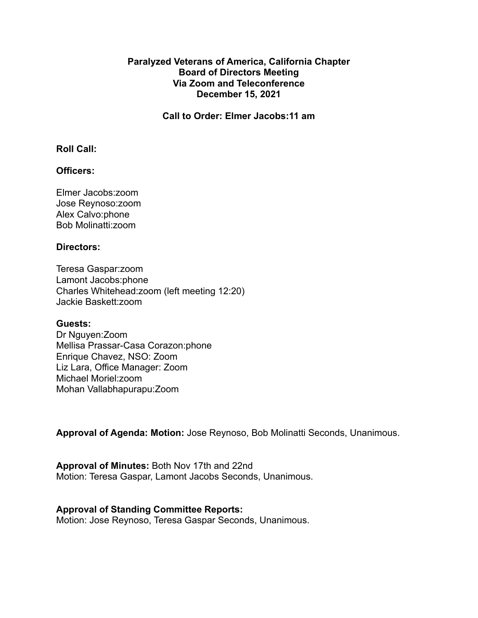### **Paralyzed Veterans of America, California Chapter Board of Directors Meeting Via Zoom and Teleconference December 15, 2021**

**Call to Order: Elmer Jacobs:11 am**

#### **Roll Call:**

## **Officers:**

Elmer Jacobs:zoom Jose Reynoso:zoom Alex Calvo:phone Bob Molinatti:zoom

#### **Directors:**

Teresa Gaspar:zoom Lamont Jacobs:phone Charles Whitehead:zoom (left meeting 12:20) Jackie Baskett:zoom

#### **Guests:**

Dr Nguyen:Zoom Mellisa Prassar-Casa Corazon:phone Enrique Chavez, NSO: Zoom Liz Lara, Office Manager: Zoom Michael Moriel:zoom Mohan Vallabhapurapu:Zoom

**Approval of Agenda: Motion:** Jose Reynoso, Bob Molinatti Seconds, Unanimous.

**Approval of Minutes:** Both Nov 17th and 22nd Motion: Teresa Gaspar, Lamont Jacobs Seconds, Unanimous.

#### **Approval of Standing Committee Reports:**

Motion: Jose Reynoso, Teresa Gaspar Seconds, Unanimous.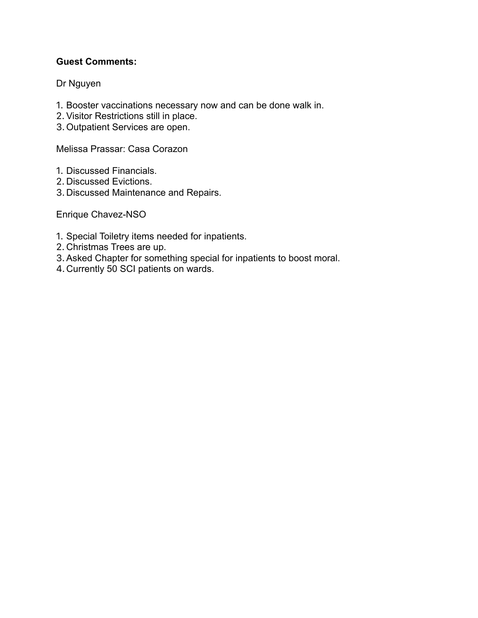# **Guest Comments:**

## Dr Nguyen

- 1. Booster vaccinations necessary now and can be done walk in.
- 2. Visitor Restrictions still in place.
- 3. Outpatient Services are open.

Melissa Prassar: Casa Corazon

- 1. Discussed Financials.
- 2. Discussed Evictions.
- 3. Discussed Maintenance and Repairs.

Enrique Chavez-NSO

- 1. Special Toiletry items needed for inpatients.
- 2. Christmas Trees are up.
- 3.Asked Chapter for something special for inpatients to boost moral.
- 4.Currently 50 SCI patients on wards.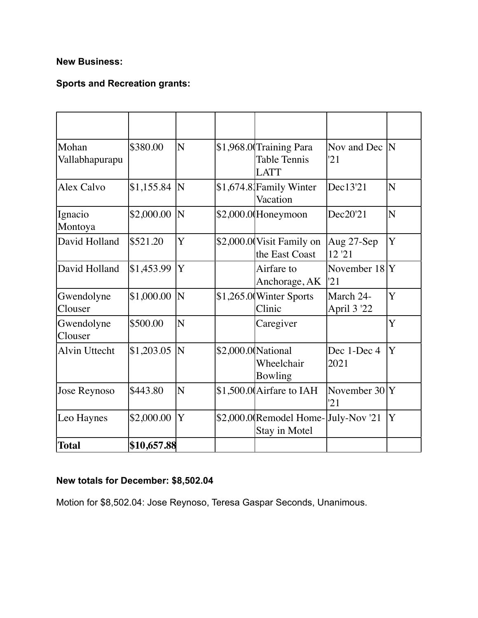# **New Business:**

# **Sports and Recreation grants:**

| Mohan<br>Vallabhapurapu | \$380.00    | N | \$1,968.0 Training Para<br><b>Table Tennis</b><br><b>LATT</b> | Nov and Dec  N<br>21     |   |
|-------------------------|-------------|---|---------------------------------------------------------------|--------------------------|---|
| Alex Calvo              | \$1,155.84  | N | \$1,674.8 Family Winter<br>Vacation                           | Dec13'21                 | N |
| Ignacio<br>Montoya      | \$2,000.00  | N | $$2,000.0$ (Honeymoon                                         | Dec20'21                 | N |
| David Holland           | \$521.20    | Y | \$2,000.0 Visit Family on<br>the East Coast                   | Aug 27-Sep<br>12'21      | Y |
| David Holland           | \$1,453.99  | Y | Airfare to<br>Anchorage, AK                                   | November 18<br>'21       | Y |
| Gwendolyne<br>Clouser   | \$1,000.00  | N | \$1,265.0 Winter Sports<br>Clinic                             | March 24-<br>April 3 '22 | Y |
| Gwendolyne<br>Clouser   | \$500.00    | N | Caregiver                                                     |                          | Y |
| <b>Alvin Uttecht</b>    | \$1,203.05  | N | \$2,000.0 National<br>Wheelchair<br>Bowling                   | Dec 1-Dec 4<br>2021      | Y |
| Jose Reynoso            | \$443.80    | N | \$1,500.0 Airfare to IAH                                      | November 30<br>'21       | Y |
| Leo Haynes              | \$2,000.00  | Y | \$2,000.0(Remodel Home-July-Nov '21<br>Stay in Motel          |                          | Y |
| <b>Total</b>            | \$10,657.88 |   |                                                               |                          |   |

# **New totals for December: \$8,502.04**

Motion for \$8,502.04: Jose Reynoso, Teresa Gaspar Seconds, Unanimous.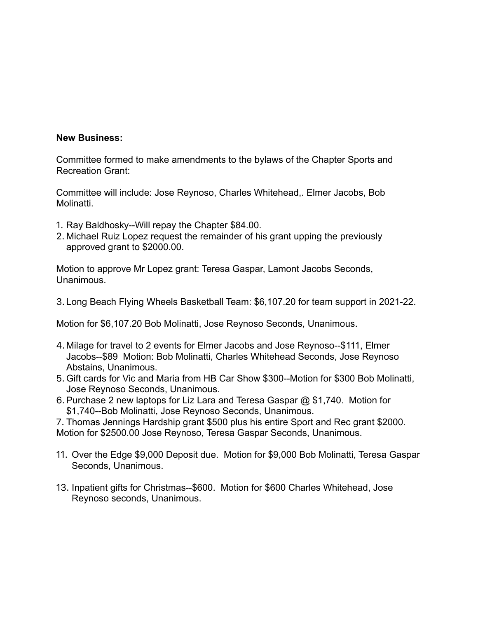#### **New Business:**

Committee formed to make amendments to the bylaws of the Chapter Sports and Recreation Grant:

Committee will include: Jose Reynoso, Charles Whitehead,. Elmer Jacobs, Bob Molinatti.

- 1. Ray Baldhosky--Will repay the Chapter \$84.00.
- 2. Michael Ruiz Lopez request the remainder of his grant upping the previously approved grant to \$2000.00.

Motion to approve Mr Lopez grant: Teresa Gaspar, Lamont Jacobs Seconds, Unanimous.

3. Long Beach Flying Wheels Basketball Team: \$6,107.20 for team support in 2021-22.

Motion for \$6,107.20 Bob Molinatti, Jose Reynoso Seconds, Unanimous.

- 4. Milage for travel to 2 events for Elmer Jacobs and Jose Reynoso--\$111, Elmer Jacobs--\$89 Motion: Bob Molinatti, Charles Whitehead Seconds, Jose Reynoso Abstains, Unanimous.
- 5. Gift cards for Vic and Maria from HB Car Show \$300--Motion for \$300 Bob Molinatti, Jose Reynoso Seconds, Unanimous.
- 6.Purchase 2 new laptops for Liz Lara and Teresa Gaspar @ \$1,740. Motion for \$1,740--Bob Molinatti, Jose Reynoso Seconds, Unanimous.

7. Thomas Jennings Hardship grant \$500 plus his entire Sport and Rec grant \$2000. Motion for \$2500.00 Jose Reynoso, Teresa Gaspar Seconds, Unanimous.

- 11. Over the Edge \$9,000 Deposit due. Motion for \$9,000 Bob Molinatti, Teresa Gaspar Seconds, Unanimous.
- 13. Inpatient gifts for Christmas--\$600. Motion for \$600 Charles Whitehead, Jose Reynoso seconds, Unanimous.